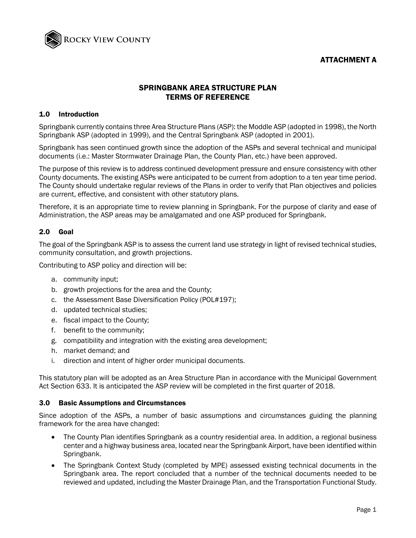## ATTACHMENT A



## SPRINGBANK AREA STRUCTURE PLAN TERMS OF REFERENCE

### 1.0 Introduction

Springbank currently contains three Area Structure Plans (ASP): the Moddle ASP (adopted in 1998), the North Springbank ASP (adopted in 1999), and the Central Springbank ASP (adopted in 2001).

Springbank has seen continued growth since the adoption of the ASPs and several technical and municipal documents (i.e.: Master Stormwater Drainage Plan, the County Plan, etc.) have been approved.

The purpose of this review is to address continued development pressure and ensure consistency with other County documents. The existing ASPs were anticipated to be current from adoption to a ten year time period. The County should undertake regular reviews of the Plans in order to verify that Plan objectives and policies are current, effective, and consistent with other statutory plans.

Therefore, it is an appropriate time to review planning in Springbank. For the purpose of clarity and ease of Administration, the ASP areas may be amalgamated and one ASP produced for Springbank.

## 2.0 Goal

The goal of the Springbank ASP is to assess the current land use strategy in light of revised technical studies, community consultation, and growth projections.

Contributing to ASP policy and direction will be:

- a. community input;
- b. growth projections for the area and the County;
- c. the Assessment Base Diversification Policy (POL#197);
- d. updated technical studies;
- e. fiscal impact to the County;
- f. benefit to the community;
- g. compatibility and integration with the existing area development;
- h. market demand; and
- i. direction and intent of higher order municipal documents.

This statutory plan will be adopted as an Area Structure Plan in accordance with the Municipal Government Act Section 633. It is anticipated the ASP review will be completed in the first quarter of 2018.

#### 3.0 Basic Assumptions and Circumstances

Since adoption of the ASPs, a number of basic assumptions and circumstances guiding the planning framework for the area have changed:

- The County Plan identifies Springbank as a country residential area. In addition, a regional business center and a highway business area, located near the Springbank Airport, have been identified within Springbank.
- The Springbank Context Study (completed by MPE) assessed existing technical documents in the Springbank area. The report concluded that a number of the technical documents needed to be reviewed and updated, including the Master Drainage Plan, and the Transportation Functional Study.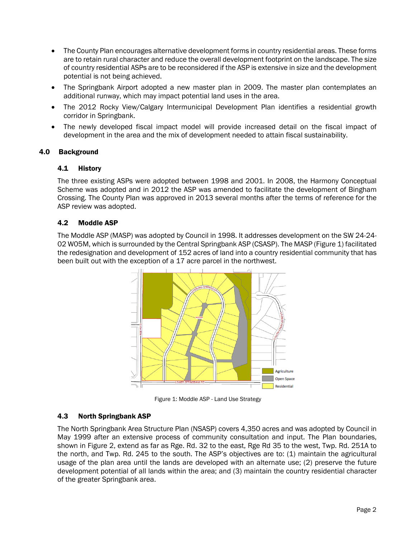- The County Plan encourages alternative development forms in country residential areas. These forms are to retain rural character and reduce the overall development footprint on the landscape. The size of country residential ASPs are to be reconsidered if the ASP is extensive in size and the development potential is not being achieved.
- The Springbank Airport adopted a new master plan in 2009. The master plan contemplates an additional runway, which may impact potential land uses in the area.
- The 2012 Rocky View/Calgary Intermunicipal Development Plan identifies a residential growth corridor in Springbank.
- The newly developed fiscal impact model will provide increased detail on the fiscal impact of development in the area and the mix of development needed to attain fiscal sustainability.

### 4.0 Background

#### 4.1 History

The three existing ASPs were adopted between 1998 and 2001. In 2008, the Harmony Conceptual Scheme was adopted and in 2012 the ASP was amended to facilitate the development of Bingham Crossing. The County Plan was approved in 2013 several months after the terms of reference for the ASP review was adopted.

#### 4.2 Moddle ASP

The Moddle ASP (MASP) was adopted by Council in 1998. It addresses development on the SW 24-24- 02 W05M, which is surrounded by the Central Springbank ASP (CSASP). The MASP (Figure 1) facilitated the redesignation and development of 152 acres of land into a country residential community that has been built out with the exception of a 17 acre parcel in the northwest.



Figure 1: Moddle ASP - Land Use Strategy

#### 4.3 North Springbank ASP

The North Springbank Area Structure Plan (NSASP) covers 4,350 acres and was adopted by Council in May 1999 after an extensive process of community consultation and input. The Plan boundaries, shown in Figure 2, extend as far as Rge. Rd. 32 to the east, Rge Rd 35 to the west, Twp. Rd. 251A to the north, and Twp. Rd. 245 to the south. The ASP's objectives are to: (1) maintain the agricultural usage of the plan area until the lands are developed with an alternate use; (2) preserve the future development potential of all lands within the area; and (3) maintain the country residential character of the greater Springbank area.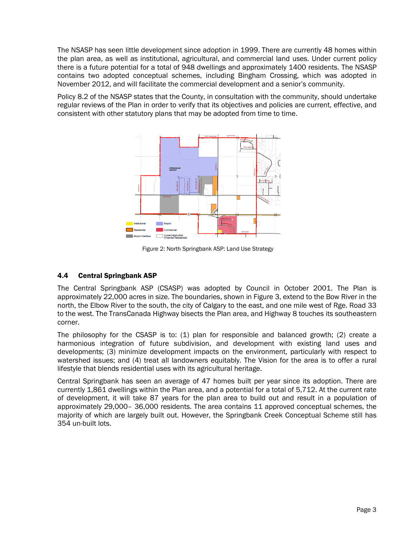The NSASP has seen little development since adoption in 1999. There are currently 48 homes within the plan area, as well as institutional, agricultural, and commercial land uses. Under current policy there is a future potential for a total of 948 dwellings and approximately 1400 residents. The NSASP contains two adopted conceptual schemes, including Bingham Crossing, which was adopted in November 2012, and will facilitate the commercial development and a senior's community.

Policy 8.2 of the NSASP states that the County, in consultation with the community, should undertake regular reviews of the Plan in order to verify that its objectives and policies are current, effective, and consistent with other statutory plans that may be adopted from time to time.



Figure 2: North Springbank ASP: Land Use Strategy

## 4.4 Central Springbank ASP

The Central Springbank ASP (CSASP) was adopted by Council in October 2001. The Plan is approximately 22,000 acres in size. The boundaries, shown in Figure 3, extend to the Bow River in the north, the Elbow River to the south, the city of Calgary to the east, and one mile west of Rge. Road 33 to the west. The TransCanada Highway bisects the Plan area, and Highway 8 touches its southeastern corner.

The philosophy for the CSASP is to:  $(1)$  plan for responsible and balanced growth;  $(2)$  create a harmonious integration of future subdivision, and development with existing land uses and developments; (3) minimize development impacts on the environment, particularly with respect to watershed issues; and (4) treat all landowners equitably. The Vision for the area is to offer a rural lifestyle that blends residential uses with its agricultural heritage.

Central Springbank has seen an average of 47 homes built per year since its adoption. There are currently 1,861 dwellings within the Plan area, and a potential for a total of 5,712. At the current rate of development, it will take 87 years for the plan area to build out and result in a population of approximately 29,000– 36,000 residents. The area contains 11 approved conceptual schemes, the majority of which are largely built out. However, the Springbank Creek Conceptual Scheme still has 354 un-built lots.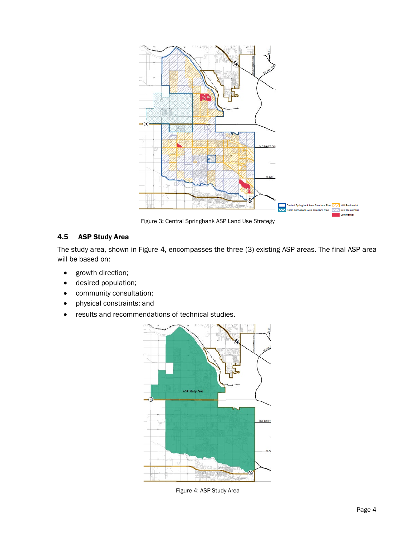

Figure 3: Central Springbank ASP Land Use Strategy

# 4.5 ASP Study Area

The study area, shown in Figure 4, encompasses the three (3) existing ASP areas. The final ASP area will be based on:

- growth direction;
- desired population;
- community consultation;
- physical constraints; and
- results and recommendations of technical studies.



Figure 4: ASP Study Area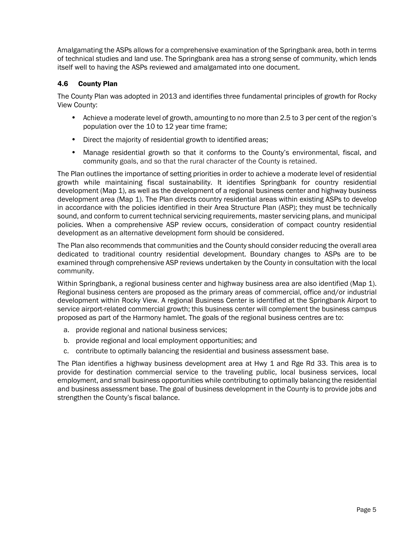Amalgamating the ASPs allows for a comprehensive examination of the Springbank area, both in terms of technical studies and land use. The Springbank area has a strong sense of community, which lends itself well to having the ASPs reviewed and amalgamated into one document.

## 4.6 County Plan

The County Plan was adopted in 2013 and identifies three fundamental principles of growth for Rocky View County:

- Achieve a moderate level of growth, amounting to no more than 2.5 to 3 per cent of the region's population over the 10 to 12 year time frame;
- Direct the majority of residential growth to identified areas;
- Manage residential growth so that it conforms to the County's environmental, fiscal, and community goals, and so that the rural character of the County is retained.

The Plan outlines the importance of setting priorities in order to achieve a moderate level of residential growth while maintaining fiscal sustainability. It identifies Springbank for country residential development (Map 1), as well as the development of a regional business center and highway business development area (Map 1). The Plan directs country residential areas within existing ASPs to develop in accordance with the policies identified in their Area Structure Plan (ASP); they must be technically sound, and conform to current technical servicing requirements, master servicing plans, and municipal policies. When a comprehensive ASP review occurs, consideration of compact country residential development as an alternative development form should be considered.

The Plan also recommends that communities and the County should consider reducing the overall area dedicated to traditional country residential development. Boundary changes to ASPs are to be examined through comprehensive ASP reviews undertaken by the County in consultation with the local community.

Within Springbank, a regional business center and highway business area are also identified (Map 1). Regional business centers are proposed as the primary areas of commercial, office and/or industrial development within Rocky View. A regional Business Center is identified at the Springbank Airport to service airport-related commercial growth; this business center will complement the business campus proposed as part of the Harmony hamlet. The goals of the regional business centres are to:

- a. provide regional and national business services;
- b. provide regional and local employment opportunities; and
- c. contribute to optimally balancing the residential and business assessment base.

The Plan identifies a highway business development area at Hwy 1 and Rge Rd 33. This area is to provide for destination commercial service to the traveling public, local business services, local employment, and small business opportunities while contributing to optimally balancing the residential and business assessment base. The goal of business development in the County is to provide jobs and strengthen the County's fiscal balance.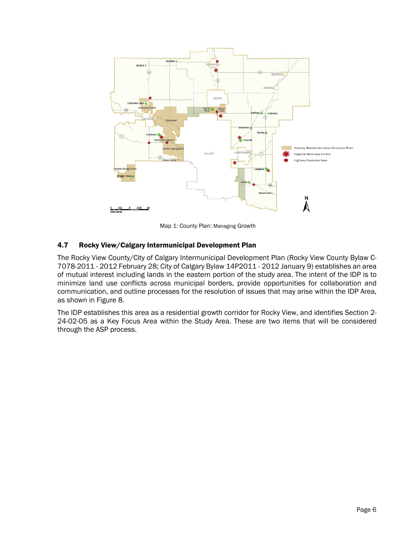

Map 1: County Plan: Managing Growth

## 4.7 Rocky View/Calgary Intermunicipal Development Plan

The Rocky View County/City of Calgary Intermunicipal Development Plan (Rocky View County Bylaw C-7078-2011 - 2012 February 28; City of Calgary Bylaw 14P2011 - 2012 January 9) establishes an area of mutual interest including lands in the eastern portion of the study area. The intent of the IDP is to minimize land use conflicts across municipal borders, provide opportunities for collaboration and communication, and outline processes for the resolution of issues that may arise within the IDP Area, as shown in Figure 8.

The IDP establishes this area as a residential growth corridor for Rocky View, and identifies Section 2- 24-02-05 as a Key Focus Area within the Study Area. These are two items that will be considered through the ASP process.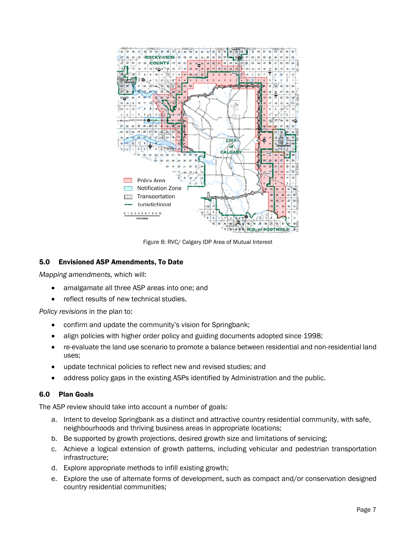

Figure 8: RVC/ Calgary IDP Area of Mutual Interest

## 5.0 Envisioned ASP Amendments, To Date

*Mapping amendments,* which will:

- amalgamate all three ASP areas into one; and
- reflect results of new technical studies.

*Policy revisions* in the plan to:

- confirm and update the community's vision for Springbank;
- align policies with higher order policy and guiding documents adopted since 1998;
- re-evaluate the land use scenario to promote a balance between residential and non-residential land uses;
- update technical policies to reflect new and revised studies; and
- address policy gaps in the existing ASPs identified by Administration and the public.

#### 6.0 Plan Goals

The ASP review should take into account a number of goals:

- a. Intent to develop Springbank as a distinct and attractive country residential community, with safe, neighbourhoods and thriving business areas in appropriate locations;
- b. Be supported by growth projections, desired growth size and limitations of servicing;
- c. Achieve a logical extension of growth patterns, including vehicular and pedestrian transportation infrastructure;
- d. Explore appropriate methods to infill existing growth;
- e. Explore the use of alternate forms of development, such as compact and/or conservation designed country residential communities;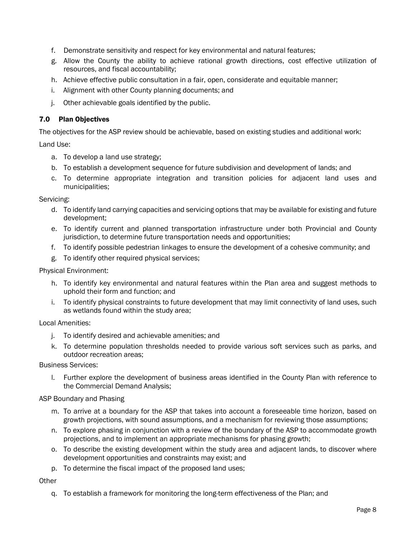- f. Demonstrate sensitivity and respect for key environmental and natural features;
- g. Allow the County the ability to achieve rational growth directions, cost effective utilization of resources, and fiscal accountability;
- h. Achieve effective public consultation in a fair, open, considerate and equitable manner;
- i. Alignment with other County planning documents; and
- j. Other achievable goals identified by the public.

## 7.0 Plan Objectives

The objectives for the ASP review should be achievable, based on existing studies and additional work:

Land Use:

- a. To develop a land use strategy;
- b. To establish a development sequence for future subdivision and development of lands; and
- c. To determine appropriate integration and transition policies for adjacent land uses and municipalities;

Servicing:

- d. To identify land carrying capacities and servicing options that may be available for existing and future development;
- e. To identify current and planned transportation infrastructure under both Provincial and County jurisdiction, to determine future transportation needs and opportunities;
- f. To identify possible pedestrian linkages to ensure the development of a cohesive community; and
- g. To identify other required physical services;

Physical Environment:

- h. To identify key environmental and natural features within the Plan area and suggest methods to uphold their form and function; and
- i. To identify physical constraints to future development that may limit connectivity of land uses, such as wetlands found within the study area;

Local Amenities:

- j. To identify desired and achievable amenities; and
- k. To determine population thresholds needed to provide various soft services such as parks, and outdoor recreation areas;

Business Services:

l. Further explore the development of business areas identified in the County Plan with reference to the Commercial Demand Analysis;

ASP Boundary and Phasing

- m. To arrive at a boundary for the ASP that takes into account a foreseeable time horizon, based on growth projections, with sound assumptions, and a mechanism for reviewing those assumptions;
- n. To explore phasing in conjunction with a review of the boundary of the ASP to accommodate growth projections, and to implement an appropriate mechanisms for phasing growth;
- o. To describe the existing development within the study area and adjacent lands, to discover where development opportunities and constraints may exist; and
- p. To determine the fiscal impact of the proposed land uses;

**Other** 

q. To establish a framework for monitoring the long-term effectiveness of the Plan; and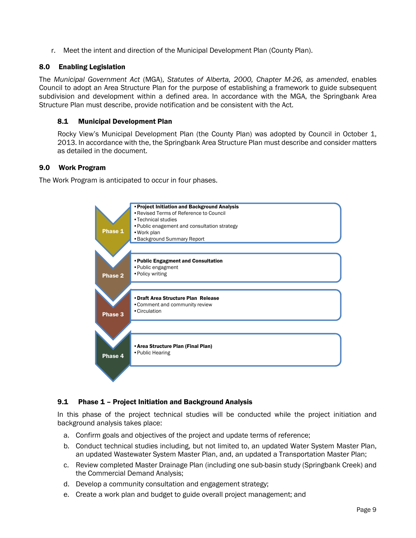r. Meet the intent and direction of the Municipal Development Plan (County Plan).

### 8.0 Enabling Legislation

The *Municipal Government Act* (MGA), *Statutes of Alberta, 2000, Chapter M-26, as amended*, enables Council to adopt an Area Structure Plan for the purpose of establishing a framework to guide subsequent subdivision and development within a defined area. In accordance with the MGA, the Springbank Area Structure Plan must describe, provide notification and be consistent with the Act.

### 8.1 Municipal Development Plan

Rocky View's Municipal Development Plan (the County Plan) was adopted by Council in October 1, 2013. In accordance with the, the Springbank Area Structure Plan must describe and consider matters as detailed in the document.

### 9.0 Work Program

The Work Program is anticipated to occur in four phases.



## 9.1 Phase 1 – Project Initiation and Background Analysis

In this phase of the project technical studies will be conducted while the project initiation and background analysis takes place:

- a. Confirm goals and objectives of the project and update terms of reference;
- b. Conduct technical studies including, but not limited to, an updated Water System Master Plan, an updated Wastewater System Master Plan, and, an updated a Transportation Master Plan;
- c. Review completed Master Drainage Plan (including one sub-basin study (Springbank Creek) and the Commercial Demand Analysis;
- d. Develop a community consultation and engagement strategy;
- e. Create a work plan and budget to guide overall project management; and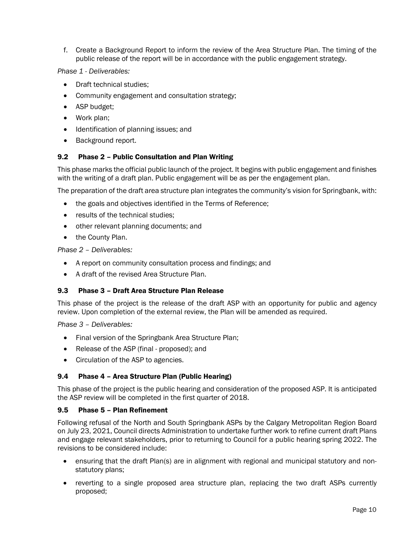f. Create a Background Report to inform the review of the Area Structure Plan. The timing of the public release of the report will be in accordance with the public engagement strategy.

### *Phase 1 - Deliverables:*

- Draft technical studies;
- Community engagement and consultation strategy;
- ASP budget;
- Work plan:
- Identification of planning issues; and
- Background report.

### 9.2 Phase 2 – Public Consultation and Plan Writing

This phase marks the official public launch of the project. It begins with public engagement and finishes with the writing of a draft plan. Public engagement will be as per the engagement plan.

The preparation of the draft area structure plan integrates the community's vision for Springbank, with:

- the goals and objectives identified in the Terms of Reference;
- results of the technical studies;
- other relevant planning documents; and
- the County Plan.

#### *Phase 2 – Deliverables:*

- A report on community consultation process and findings; and
- A draft of the revised Area Structure Plan.

#### 9.3 Phase 3 – Draft Area Structure Plan Release

This phase of the project is the release of the draft ASP with an opportunity for public and agency review. Upon completion of the external review, the Plan will be amended as required.

*Phase 3 – Deliverables:*

- Final version of the Springbank Area Structure Plan;
- Release of the ASP (final proposed); and
- Circulation of the ASP to agencies.

#### 9.4 Phase 4 – Area Structure Plan (Public Hearing)

This phase of the project is the public hearing and consideration of the proposed ASP. It is anticipated the ASP review will be completed in the first quarter of 2018.

#### 9.5 Phase 5 – Plan Refinement

Following refusal of the North and South Springbank ASPs by the Calgary Metropolitan Region Board on July 23, 2021, Council directs Administration to undertake further work to refine current draft Plans and engage relevant stakeholders, prior to returning to Council for a public hearing spring 2022. The revisions to be considered include:

- ensuring that the draft Plan(s) are in alignment with regional and municipal statutory and nonstatutory plans;
- reverting to a single proposed area structure plan, replacing the two draft ASPs currently proposed;